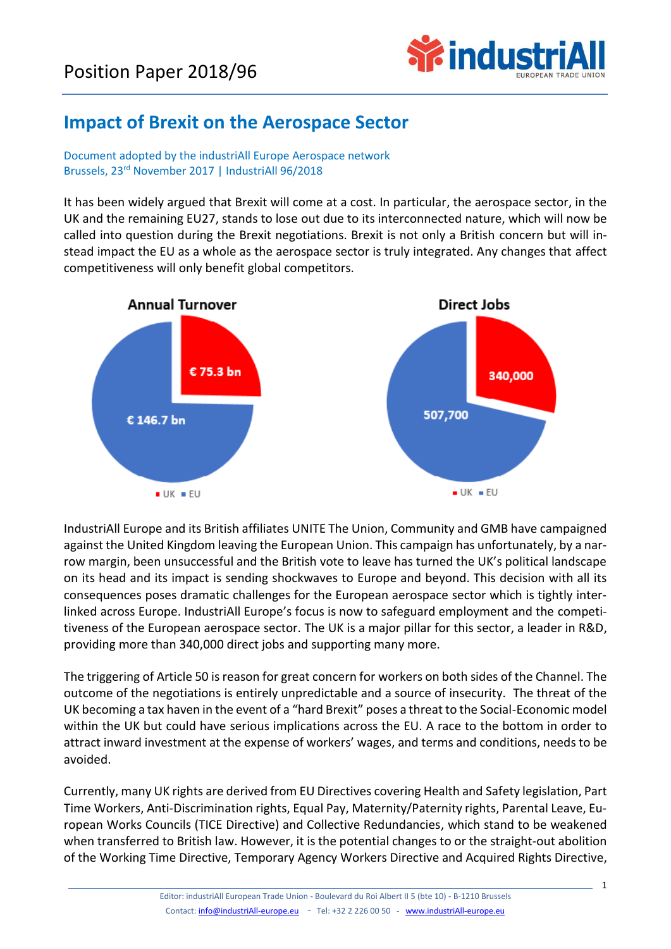

## **Impact of Brexit on the Aerospace Sector**

Document adopted by the industriAll Europe Aerospace network Brussels, 23rd November 2017 | IndustriAll 96/2018

It has been widely argued that Brexit will come at a cost. In particular, the aerospace sector, in the UK and the remaining EU27, stands to lose out due to its interconnected nature, which will now be called into question during the Brexit negotiations. Brexit is not only a British concern but will instead impact the EU as a whole as the aerospace sector is truly integrated. Any changes that affect competitiveness will only benefit global competitors.



IndustriAll Europe and its British affiliates UNITE The Union, Community and GMB have campaigned against the United Kingdom leaving the European Union. This campaign has unfortunately, by a narrow margin, been unsuccessful and the British vote to leave has turned the UK's political landscape on its head and its impact is sending shockwaves to Europe and beyond. This decision with all its consequences poses dramatic challenges for the European aerospace sector which is tightly interlinked across Europe. IndustriAll Europe's focus is now to safeguard employment and the competitiveness of the European aerospace sector. The UK is a major pillar for this sector, a leader in R&D, providing more than 340,000 direct jobs and supporting many more.

The triggering of Article 50 is reason for great concern for workers on both sides of the Channel. The outcome of the negotiations is entirely unpredictable and a source of insecurity. The threat of the UK becoming a tax haven in the event of a "hard Brexit" poses a threat to the Social-Economic model within the UK but could have serious implications across the EU. A race to the bottom in order to attract inward investment at the expense of workers' wages, and terms and conditions, needs to be avoided.

Currently, many UK rights are derived from EU Directives covering Health and Safety legislation, Part Time Workers, Anti-Discrimination rights, Equal Pay, Maternity/Paternity rights, Parental Leave, European Works Councils (TICE Directive) and Collective Redundancies, which stand to be weakened when transferred to British law. However, it is the potential changes to or the straight-out abolition of the Working Time Directive, Temporary Agency Workers Directive and Acquired Rights Directive,

1